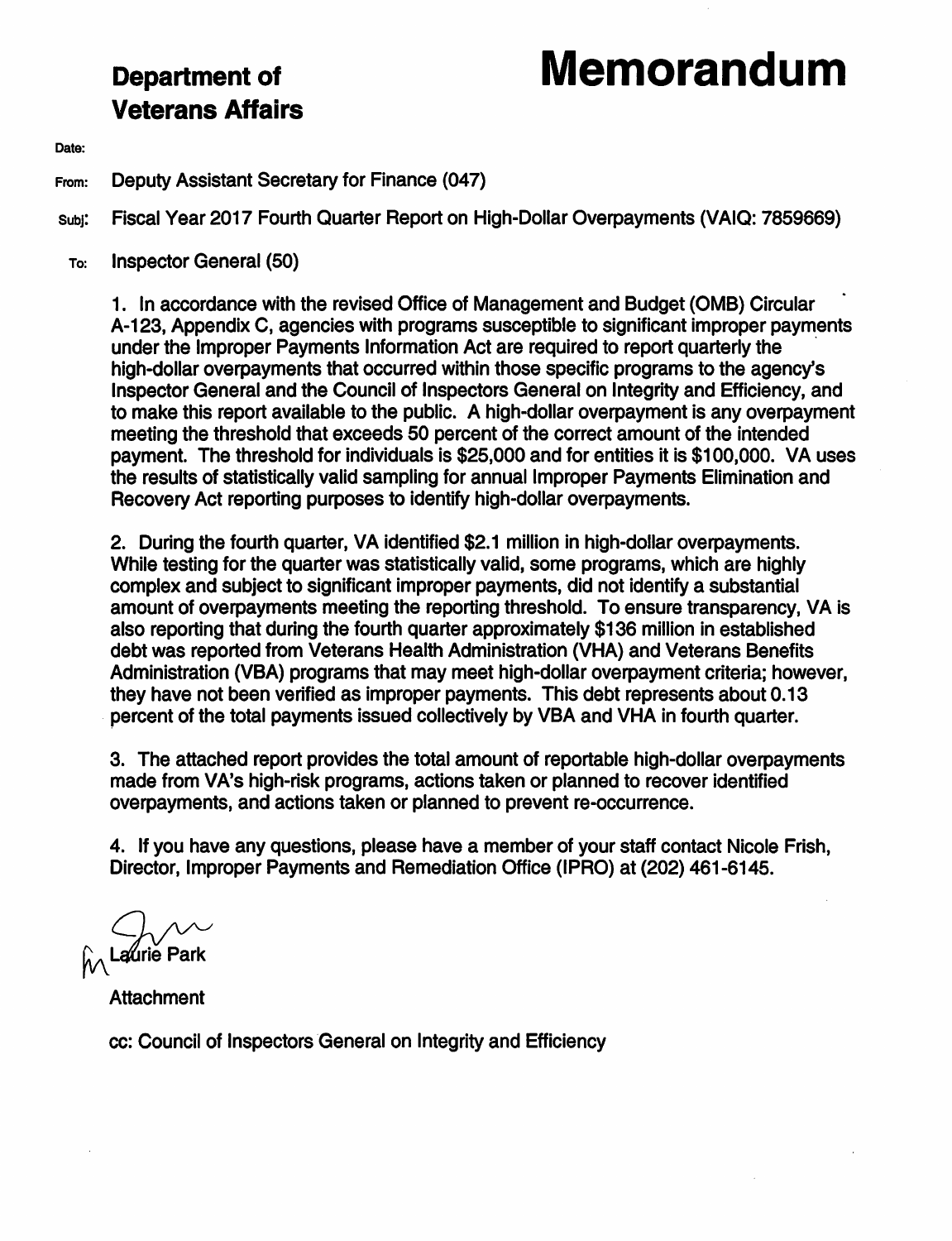# **Veterans Affairs**

## **Department of Memorandum**

Date:

From: Deputy Assistant Secretary for Finance (047)

subj: Fiscal Year 2017 Fourth Quarter Report on High-Dollar Overpayments (VAIQ: 7859669)

To: Inspector General (50)

1. In accordance with the revised Office of Management and Budget (0MB) Circular A-123, Appendix C, agencies with programs susceptible to significant improper payments under the Improper Payments Information Act are required to report quarterly the · high-dollar overpayments that occurred within those specific programs to the agency's Inspector General and the Council of Inspectors General on Integrity and Efficiency, and to make this report available to the public. A high-dollar overpayment is any overpayment meeting the threshold that exceeds 50 percent of the correct amount of the intended payment. The threshold for individuals is \$25,000 and for entities it is \$100,000. VA uses the results of statistically valid sampling for annual Improper Payments Elimination and Recovery Act reporting purposes to identify high-dollar overpayments.

2. During the fourth quarter, VA identified \$2.1 million in high-dollar overpayments. While testing for the quarter was statistically valid, some programs, which are highly complex and subject to significant improper payments, did not identify a substantial amount of overpayments meeting the reporting threshold. To ensure transparency, VA is also reporting that during the fourth quarter approximately \$136 million in established debt was reported from Veterans Health Administration (VHA) and Veterans Benefits Administration (VBA) programs that may meet high-dollar overpayment criteria; however, they have not been verified as improper payments. This debt represents about 0.13 percent of the total payments issued collectively by VBA and VHA in fourth quarter.

3. The attached report provides the total amount of reportable high-dollar overpayments made from **VA's** high-risk programs, actions taken or planned to recover identified overpayments, and actions taken or planned to prevent re-occurrence.

4. If you have any questions, please have a member of your staff contact Nicole Frish, Director, Improper Payments and Remediation Office (IPRO) at (202) 461-6145.

 $~\odot$  Laurie Park

**Attachment** 

cc: Council of Inspectors General on Integrity and Efficiency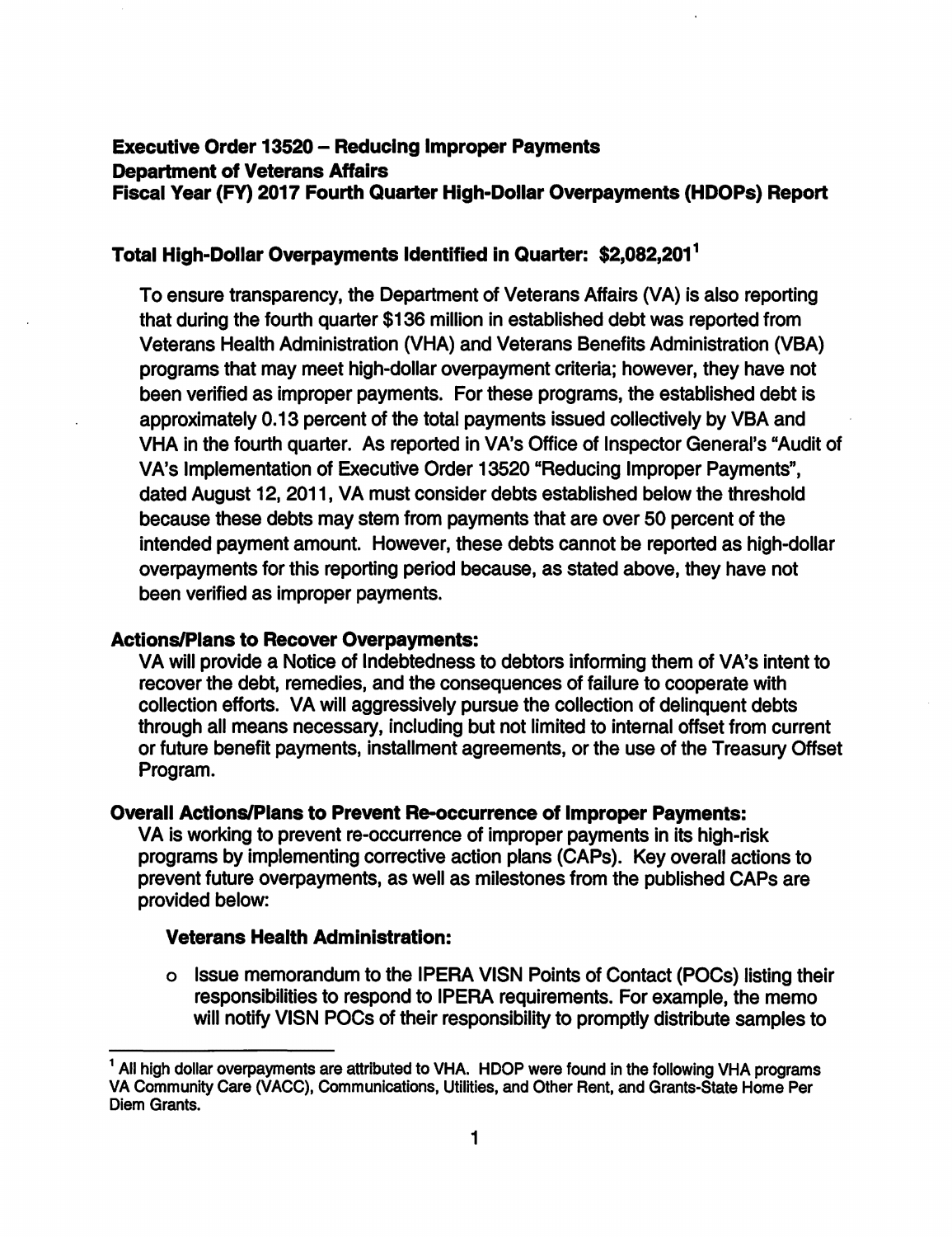### **Executive Order 13520** - **Reducing Improper Payments Department of Veterans Affairs Fiscal Year (FY) 2017 Fourth Quarter High-Dollar Overpayments (HDOPs) Report**

#### **Total High-Dollar Overpayments Identified** in **Quarter: \$2,082,201 1**

To ensure transparency, the Department of Veterans Affairs (VA) is also reporting that during the fourth quarter \$136 million in established debt was reported from Veterans Health Administration (VHA) and Veterans Benefits Administration (VBA) programs that may meet high-dollar overpayment criteria; however, they have not been verified as improper payments. For these programs, the established debt is approximately 0.13 percent of the total payments issued collectively by VBA and VHA in the fourth quarter. As reported in VA's Office of Inspector General's "Audit of VA's Implementation of Executive Order 13520 "Reducing Improper Payments", dated August 12, 2011, VA must consider debts established below the threshold because these debts may stem from payments that are over 50 percent of the intended payment amount. However, these debts cannot be reported as high-dollar overpayments for this reporting period because, as stated above, they have not been verified as improper payments.

#### **Actions/Plans to Recover Overpayments:**

VA will provide a Notice of Indebtedness to debtors informing them of VA's intent to recover the debt, remedies, and the consequences of failure to cooperate with collection efforts. VA will aggressively pursue the collection of delinquent debts through all means necessary, including but not limited to internal offset from current or future benefit payments, installment agreements, or the use of the Treasury Offset Program.

#### **Overall Actions/Plans to Prevent Re-occurrence of Improper Payments:**

VA is working to prevent re-occurrence of improper payments in its high-risk programs by implementing corrective action plans (CAPs). Key overall actions to prevent future overpayments, as well as milestones from the published CAPs are provided below:

#### **Veterans Health Administration:**

o Issue memorandum to the IPERA VISN Points of Contact (POCs) listing their responsibilities to respond to IPERA requirements. For example, the memo will notify VISN POCs of their responsibility to promptly distribute samples to

 $<sup>1</sup>$  All high dollar overpayments are attributed to VHA. HDOP were found in the following VHA programs</sup> VA Community Care (VACC), Communications, Utilities, and Other Rent, and Grants-State Home Per Diem Grants.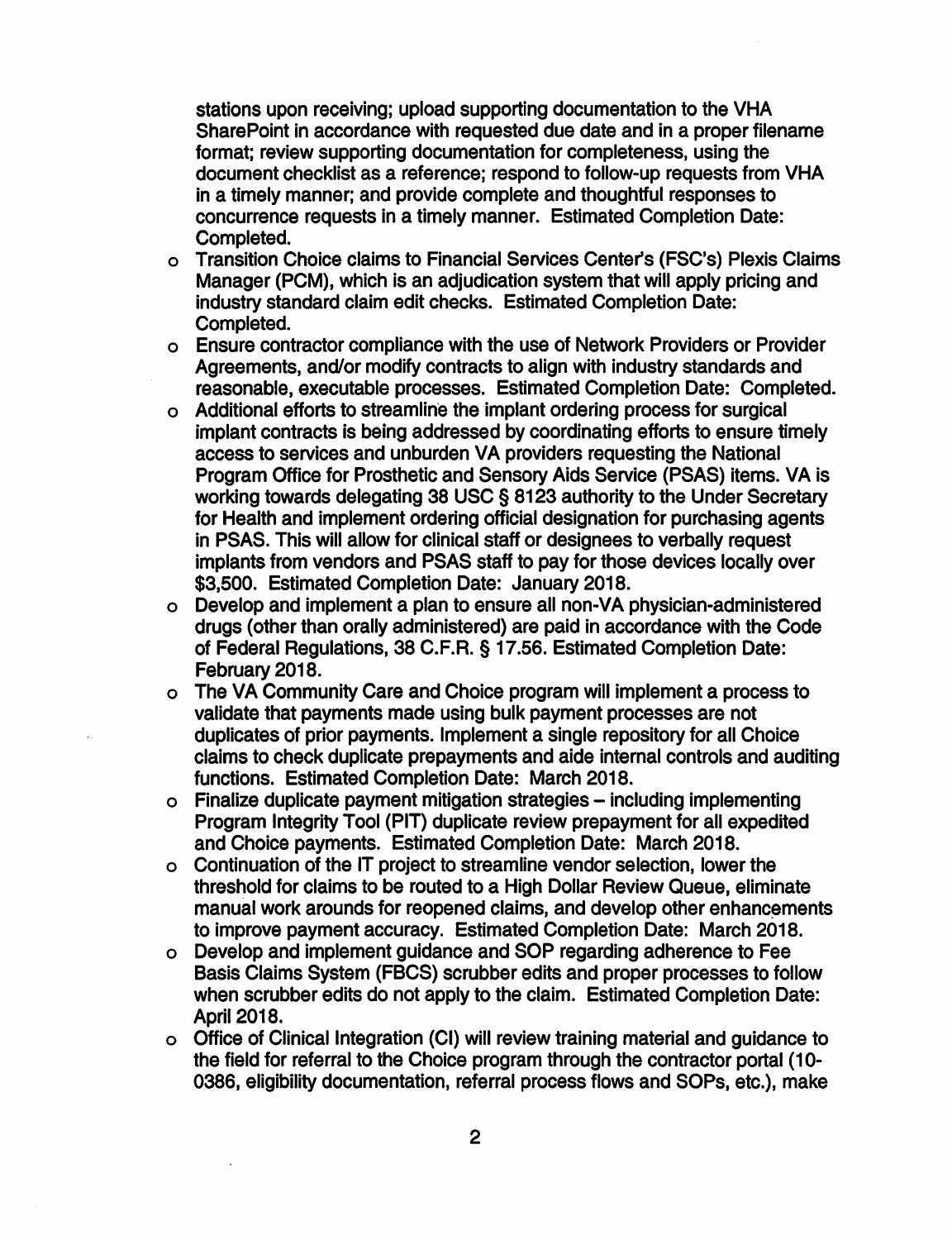stations upon receiving; upload supporting documentation to the VHA SharePoint in accordance with requested due date and in a proper filename format; review supporting documentation for completeness, using the document checklist as a reference; respond to follow-up requests from VHA in a timely manner; and provide complete and thoughtful responses to concurrence requests in a timely manner. Estimated Completion Date: Completed.

- o Transition Choice claims to Financial Services Center's (FSC's) Plexis Claims Manager (PCM), which is an adjudication system that will apply pricing and industry standard claim edit checks. Estimated Completion Date: Completed.
- o Ensure contractor compliance with the use of Network Providers or Provider Agreements, and/or modify contracts to align with industry standards and reasonable, executable processes. Estimated Completion Date: Completed.
- o Additional efforts to streamline the implant ordering process for surgical implant contracts is being addressed by coordinating efforts to ensure timely access to services and unburden VA providers requesting the National Program Office for Prosthetic and Sensory Aids Service (PSAS) items. VA is working towards delegating 38 USC§ 8123 authority to the Under Secretary for Health and implement ordering official designation for purchasing agents in PSAS. This will allow for clinical staff or designees to verbally request implants from vendors and PSAS staff to pay for those devices locally over \$3,500. Estimated Completion Date: January 2018.
- o Develop and implement a plan to ensure all non-VA physician-administered drugs ( other than orally administered) are paid in accordance with the Code of Federal Regulations, 38 C.F.R. § 17.56. Estimated Completion Date: February 2018.
- o The VA Community Care and Choice program will implement a process to validate that payments made using bulk payment processes are not duplicates of prior payments. Implement a single repository for all Choice claims to check duplicate prepayments and aide internal controls and auditing functions. Estimated Completion Date: March 2018.
- o Finalize duplicate payment mitigation strategies including implementing Program Integrity Tool (PIT) duplicate review prepayment for all expedited and Choice payments. Estimated Completion Date: March 2018.
- o Continuation of the IT project to streamline vendor selection, lower the threshold for claims to be routed to a High Dollar Review Queue, eliminate manual work arounds for reopened claims, and develop other enhancements to improve payment accuracy. Estimated Completion Date: March 2018.
- o Develop and implement guidance and SOP regarding adherence to Fee **Basis** Claims System (FBCS) scrubber edits and proper processes to follow when scrubber edits do not apply to the claim. Estimated Completion Date: April 2018.
- o Office of Clinical Integration (Cl) will review training material and guidance to the field for referral to the Choice program through the contractor portal (10- 0386, eligibility documentation, referral process flows and SOPs, etc.), make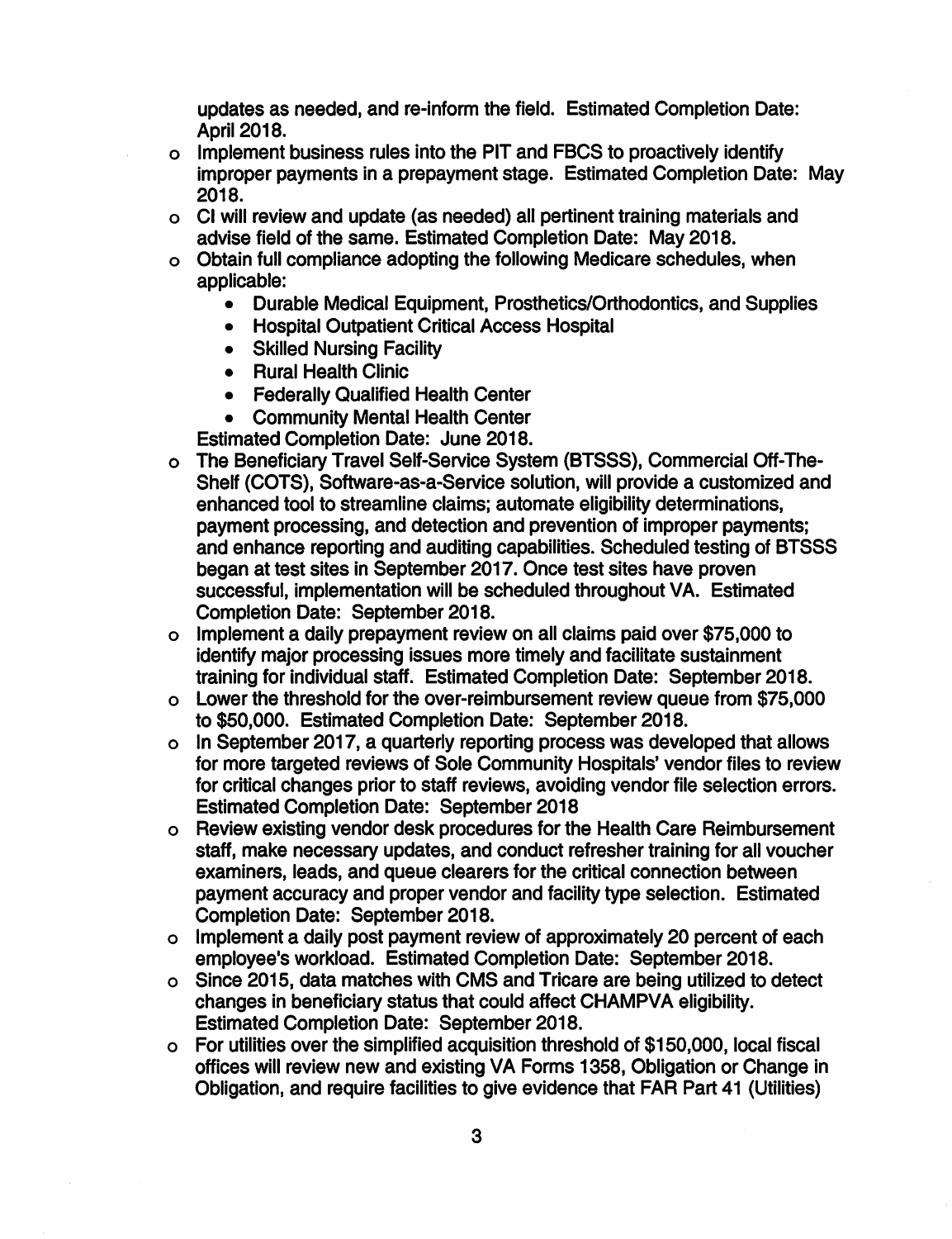updates as needed, and re-inform the field. Estimated Completion Date: April 2018.

- o Implement business rules into the PIT and FBCS to proactively identify improper payments in a prepayment stage. Estimated Completion Date: May **2018.**
- o Cl will review and update (as needed) all pertinent training materials and advise field of the same. Estimated Completion Date: May 2018.
- o Obtain full compliance adopting the following Medicare schedules, when applicable:
	- Durable Medical Equipment, Prosthetics/Orthodontics, and Supplies
	- Hospital Outpatient Critical Access Hospital
	- Skilled Nursing Facility
	- Rural Health Clinic
	- Federally Qualified Health Center
	- Community Mental Health Center

Estimated Completion Date: June 2018.

- o The Beneficiary Travel Self-Service System (BTSSS), Commercial Off-The-Shelf (COTS), Software-as-a-Service solution, will provide a customized and enhanced tool to streamline claims; automate eligibility determinations, payment processing, and detection and prevention of improper payments; and enhance reporting and auditing capabilities. Scheduled testing of BTSSS began at test sites in September 2017. Once test sites have proven successful, implementation will be scheduled throughout VA. Estimated Completion Date: September 2018.
- o Implement a daily prepayment review on all claims paid over \$75,000 to identify major processing issues more timely and facilitate sustainment training for individual staff. Estimated Completion Date: September 2018.
- o Lower the threshold for the over-reimbursement review queue from \$75,000 to \$50,000. Estimated Completion Date: September 2018.
- o In September 2017, a quarterly reporting process was developed that allows for more targeted reviews of Sole Community Hospitals' vendor files to review for critical changes prior to staff reviews, avoiding vendor file selection errors. Estimated Completion Date: September 2018
- o Review existing vendor desk procedures for the Health Care Reimbursement staff. make necessary updates, and conduct refresher training for all voucher examiners, leads, and queue clearers for the critical connection between payment accuracy and proper vendor and facility type selection. Estimated Completion Date: September 2018.
- o Implement a daily post payment review of approximately 20 percent of each employee's workload. Estimated Completion Date: September 2018.
- o Since 2015, data matches with CMS and Tricare are being utilized to detect changes in beneficiary status that could affect CHAMPVA eligibility. Estimated Completion Date: September 2018.
- o For utilities over the simplified acquisition threshold of \$150,000, local fiscal offices will review new and existing VA Forms 1358, Obligation or Change in Obligation, and require facilities to give evidence that FAR Part 41 (Utilities)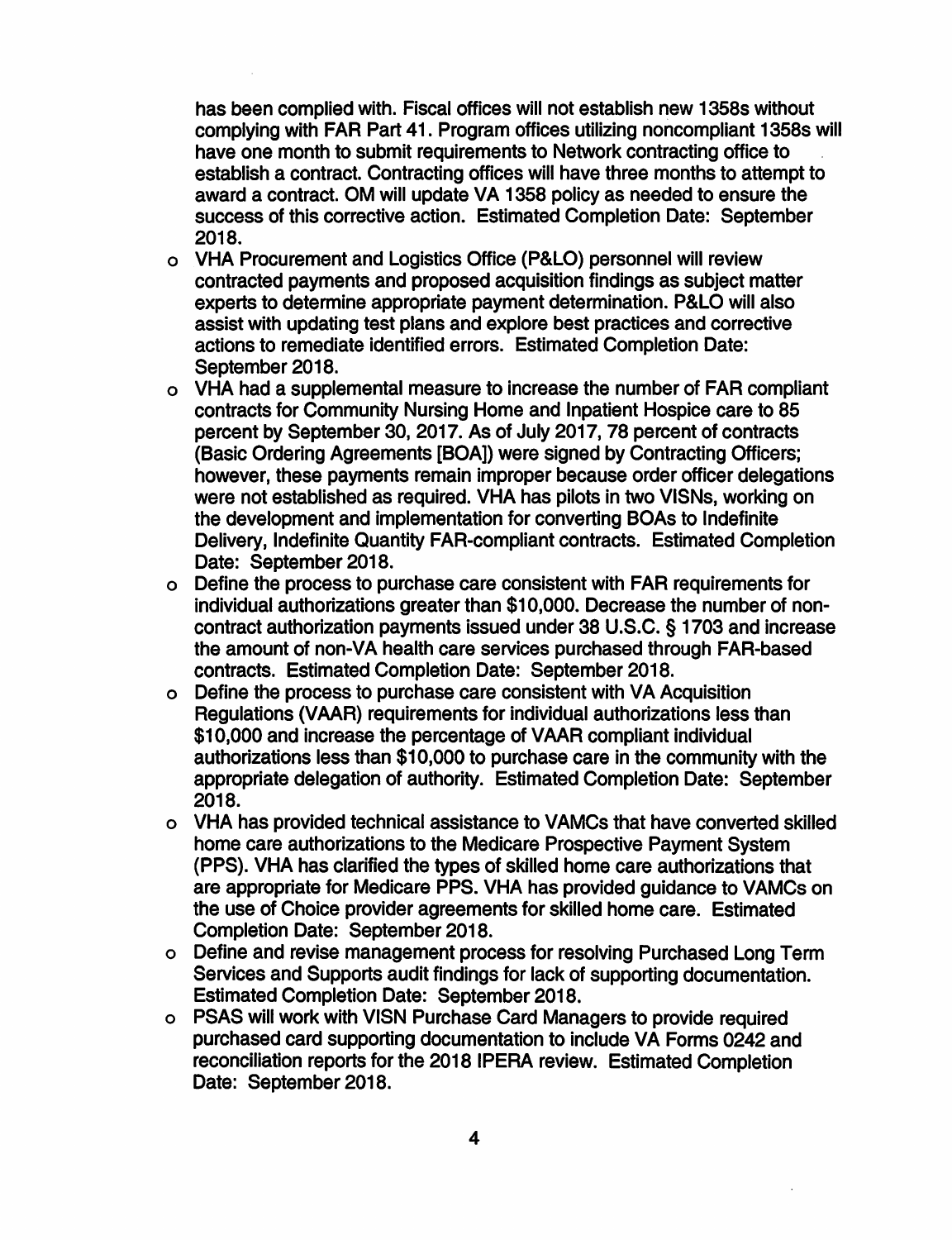has been complied with. Fiscal offices will not establish new 1358s without complying with FAR Part 41. Program offices utilizing noncompliant 1358s will have one month to submit requirements to Network contracting office to establish a contract. Contracting offices will have three months to attempt to award a contract. OM will update VA 1358 policy as needed to ensure the success of this corrective action. Estimated Completion Date: September **2018.** 

- o VHA Procurement and Logistics Office (P&LO) personnel will review contracted payments and proposed acquisition findings as subject matter experts to determine appropriate payment determination. P&LO will also assist with updating test plans and explore best practices and corrective actions to remediate identified errors. Estimated Completion Date: September 2018.
- o VHA had a supplemental measure to increase the number of FAR compliant contracts for Community Nursing Home and Inpatient Hospice care to 85 percent by September 30, 2017. As of July 2017, 78 percent of contracts (Basic Ordering Agreements [BOA]) were signed by Contracting Officers; however, these payments remain improper because order officer delegations were not established as required. VHA has pilots in two VISNs, working on the development and implementation for converting BOAs to Indefinite Delivery, Indefinite Quantity FAR-compliant contracts. Estimated Completion Date: September 2018.
- o Define the process to purchase care consistent with FAR requirements for individual authorizations greater than \$10,000. Decrease the number of noncontract authorization payments issued under 38 U.S.C. § 1703 and increase the amount of non-VA health care services purchased through FAR-based contracts. Estimated Completion Date: September 2018.
- o Define the process to purchase care consistent with VA Acquisition Regulations (VAAA) requirements for individual authorizations less than \$10,000 and increase the percentage of VAAR compliant individual authorizations less than \$10,000 to purchase care in the community with the appropriate delegation of authority. Estimated Completion Date: September **2018.**
- o VHA has provided technical assistance to VAMCs that have converted skilled home care authorizations to the Medicare Prospective Payment System (PPS). VHA has clarified the types of skilled home care authorizations that are appropriate for Medicare PPS. VHA has provided guidance to VAMCs on the use of Choice provider agreements for skilled home care. Estimated Completion Date: September 2018.
- o Define and revise management process for resolving Purchased Long Term Services and Supports audit findings for lack of supporting documentation. Estimated Completion Date: September 2018.
- o PSAS will work with VISN Purchase Card Managers to provide required purchased card supporting documentation to include VA Forms 0242 and reconciliation reports for the 2018 IPERA review. Estimated Completion Date: September 2018.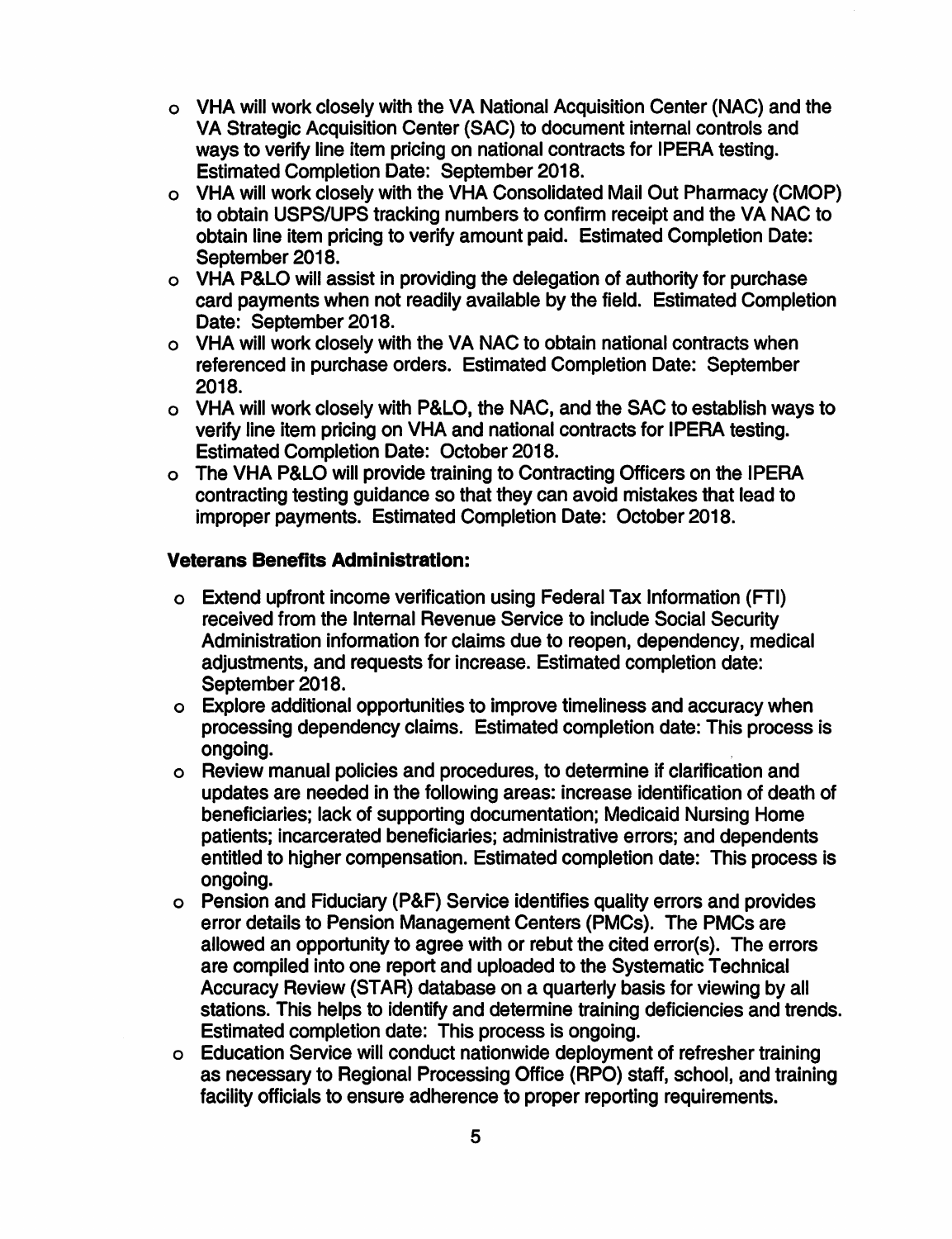- o VHA will work closely with the VA National Acquisition Center (NAC) and the VA Strategic Acquisition Center (SAC) to document internal controls and ways to verify line item pricing on national contracts for IPERA testing. Estimated Completion Date: September 2018.
- o VHA will work closely with the VHA Consolidated Mail Out Pharmacy (CMOP) to obtain USPS/UPS tracking numbers to confirm receipt and the VA NAC to obtain line item pricing to verify amount paid. Estimated Completion Date: September 2018.
- o VHA P&LO will assist in providing the delegation of authority for purchase card payments when not readily available by the field. Estimated Completion Date: September 2018.
- o VHA will work closely with the VA NAC to obtain national contracts when referenced in purchase orders. Estimated Completion Date: September 2018.
- o VHA will work closely with P&LO, the NAC, and the SAC to establish ways to verify line item pricing on VHA and national contracts for IPERA testing. Estimated Completion Date: October 2018.
- o The VHA P&LO will provide training to Contracting Officers on the IPERA contracting testing guidance so that they can avoid mistakes that lead to improper payments. Estimated Completion Date: October 2018.

#### **Veterans Benefits Administration:**

- o Extend upfront income verification using Federal Tax Information (FTI) received from the Internal Revenue Service to include Social Security Administration information for claims due to reopen, dependency, medical adjustments, and requests for increase. Estimated completion date: September 2018.
- o Explore additional opportunities to improve timeliness and accuracy when processing dependency claims. Estimated completion date: This process is ongoing. .
- o Review manual policies and procedures, to determine if clarification and updates are needed in the following areas: increase identification of death of beneficiaries; lack of supporting documentation; Medicaid Nursing Home patients; incarcerated beneficiaries; administrative errors; and dependents entitled to higher compensation. Estimated completion date: This process is ongoing.
- o Pension and Fiduciary (P&F) Service identifies quality errors and provides error details to Pension Management Centers (PMCs). The PMCs are allowed an opportunity to agree with or rebut the cited error(s). The errors are compiled into one report and uploaded to the Systematic Technical Accuracy Review (STAR) database on a quarterly basis for viewing by all stations. This helps to identify and determine training deficiencies and trends. Estimated completion date: This process is ongoing.
- o Education Service will conduct nationwide deployment of refresher training as necessary to Regional Processing Office (RPO) staff, school, and training facility officials to ensure adherence to proper reporting requirements.